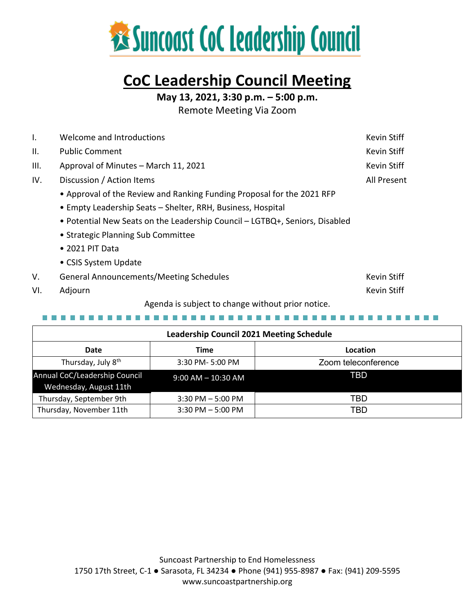

# **CoC Leadership Council Meeting**

**May 13, 2021, 3:30 p.m. – 5:00 p.m.**

Remote Meeting Via Zoom

| Τ.              | Welcome and Introductions                                                   | <b>Kevin Stiff</b> |
|-----------------|-----------------------------------------------------------------------------|--------------------|
| $\mathbf{II}$ . | <b>Public Comment</b>                                                       | Kevin Stiff        |
| III.            | Approval of Minutes - March 11, 2021                                        | Kevin Stiff        |
| IV.             | Discussion / Action Items                                                   | All Present        |
|                 | • Approval of the Review and Ranking Funding Proposal for the 2021 RFP      |                    |
|                 | • Empty Leadership Seats – Shelter, RRH, Business, Hospital                 |                    |
|                 | • Potential New Seats on the Leadership Council – LGTBQ+, Seniors, Disabled |                    |
|                 | • Strategic Planning Sub Committee                                          |                    |
|                 | $\bullet$ 2021 PIT Data                                                     |                    |
|                 | • CSIS System Update                                                        |                    |
| V.              | <b>General Announcements/Meeting Schedules</b>                              | <b>Kevin Stiff</b> |
| VI.             | Adjourn                                                                     | <b>Kevin Stiff</b> |

Agenda is subject to change without prior notice.

--------------

| <b>Leadership Council 2021 Meeting Schedule</b>         |                        |                     |  |  |
|---------------------------------------------------------|------------------------|---------------------|--|--|
| Date                                                    | Time                   | Location            |  |  |
| Thursday, July 8 <sup>th</sup>                          | 3:30 PM-5:00 PM        | Zoom teleconference |  |  |
| Annual CoC/Leadership Council<br>Wednesday, August 11th | $9:00$ AM $-$ 10:30 AM | TBD                 |  |  |
| Thursday, September 9th                                 | $3:30$ PM $-5:00$ PM   | TBD                 |  |  |
| Thursday, November 11th                                 | $3:30$ PM $-5:00$ PM   | TBD                 |  |  |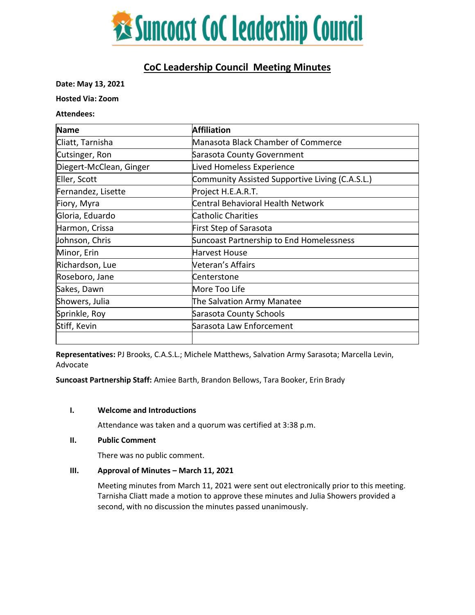

# **CoC Leadership Council Meeting Minutes**

**Date: May 13, 2021**

**Hosted Via: Zoom** 

**Attendees:**

| <b>Name</b>             | <b>Affiliation</b>                              |
|-------------------------|-------------------------------------------------|
| Cliatt, Tarnisha        | Manasota Black Chamber of Commerce              |
| Cutsinger, Ron          | Sarasota County Government                      |
| Diegert-McClean, Ginger | <b>Lived Homeless Experience</b>                |
| Eller, Scott            | Community Assisted Supportive Living (C.A.S.L.) |
| Fernandez, Lisette      | Project H.E.A.R.T.                              |
| Fiory, Myra             | Central Behavioral Health Network               |
| Gloria, Eduardo         | Catholic Charities                              |
| Harmon, Crissa          | First Step of Sarasota                          |
| Johnson, Chris          | Suncoast Partnership to End Homelessness        |
| Minor, Erin             | Harvest House                                   |
| Richardson, Lue         | <b>Neteran's Affairs</b>                        |
| Roseboro, Jane          | Centerstone                                     |
| Sakes, Dawn             | More Too Life                                   |
| Showers, Julia          | The Salvation Army Manatee                      |
| Sprinkle, Roy           | Sarasota County Schools                         |
| Stiff, Kevin            | Sarasota Law Enforcement                        |
|                         |                                                 |

**Representatives:** PJ Brooks, C.A.S.L.; Michele Matthews, Salvation Army Sarasota; Marcella Levin, Advocate

**Suncoast Partnership Staff:** Amiee Barth, Brandon Bellows, Tara Booker, Erin Brady

#### **I. Welcome and Introductions**

Attendance was taken and a quorum was certified at 3:38 p.m.

# **II. Public Comment**

There was no public comment.

# **III.** Approval of Minutes – March 11, 2021

Meeting minutes from March 11, 2021 were sent out electronically prior to this meeting. Tarnisha Cliatt made a motion to approve these minutes and Julia Showers provided a second, with no discussion the minutes passed unanimously.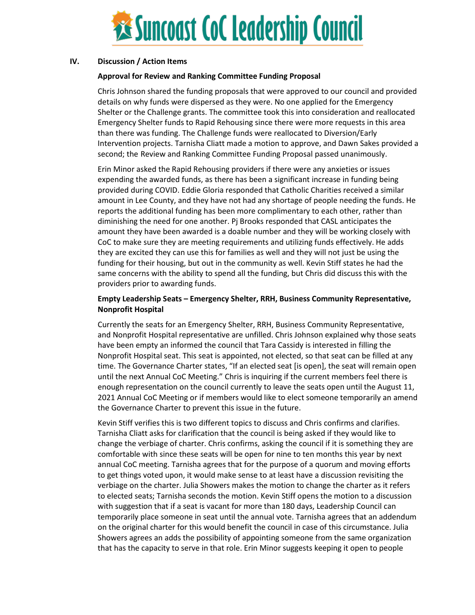

# **IV. Discussion / Action Items**

# **Approval for Review and Ranking Committee Funding Proposal**

Chris Johnson shared the funding proposals that were approved to our council and provided details on why funds were dispersed as they were. No one applied for the Emergency Shelter or the Challenge grants. The committee took this into consideration and reallocated Emergency Shelter funds to Rapid Rehousing since there were more requests in this area than there was funding. The Challenge funds were reallocated to Diversion/Early Intervention projects. Tarnisha Cliatt made a motion to approve, and Dawn Sakes provided a second; the Review and Ranking Committee Funding Proposal passed unanimously.

Erin Minor asked the Rapid Rehousing providers if there were any anxieties or issues expending the awarded funds, as there has been a significant increase in funding being provided during COVID. Eddie Gloria responded that Catholic Charities received a similar amount in Lee County, and they have not had any shortage of people needing the funds. He reports the additional funding has been more complimentary to each other, rather than diminishing the need for one another. Pj Brooks responded that CASL anticipates the amount they have been awarded is a doable number and they will be working closely with CoC to make sure they are meeting requirements and utilizing funds effectively. He adds they are excited they can use this for families as well and they will not just be using the funding for their housing, but out in the community as well. Kevin Stiff states he had the same concerns with the ability to spend all the funding, but Chris did discuss this with the providers prior to awarding funds.

# **Empty Leadership Seats – Emergency Shelter, RRH, Business Community Representative, Nonprofit Hospital**

Currently the seats for an Emergency Shelter, RRH, Business Community Representative, and Nonprofit Hospital representative are unfilled. Chris Johnson explained why those seats have been empty an informed the council that Tara Cassidy is interested in filling the Nonprofit Hospital seat. This seat is appointed, not elected, so that seat can be filled at any time. The Governance Charter states, "If an elected seat [is open], the seat will remain open until the next Annual CoC Meeting." Chris is inquiring if the current members feel there is enough representation on the council currently to leave the seats open until the August 11, 2021 Annual CoC Meeting or if members would like to elect someone temporarily an amend the Governance Charter to prevent this issue in the future.

Kevin Stiff verifies this is two different topics to discuss and Chris confirms and clarifies. Tarnisha Cliatt asks for clarification that the council is being asked if they would like to change the verbiage of charter. Chris confirms, asking the council if it is something they are comfortable with since these seats will be open for nine to ten months this year by next annual CoC meeting. Tarnisha agrees that for the purpose of a quorum and moving efforts to get things voted upon, it would make sense to at least have a discussion revisiting the verbiage on the charter. Julia Showers makes the motion to change the charter as it refers to elected seats; Tarnisha seconds the motion. Kevin Stiff opens the motion to a discussion with suggestion that if a seat is vacant for more than 180 days, Leadership Council can temporarily place someone in seat until the annual vote. Tarnisha agrees that an addendum on the original charter for this would benefit the council in case of this circumstance. Julia Showers agrees an adds the possibility of appointing someone from the same organization that has the capacity to serve in that role. Erin Minor suggests keeping it open to people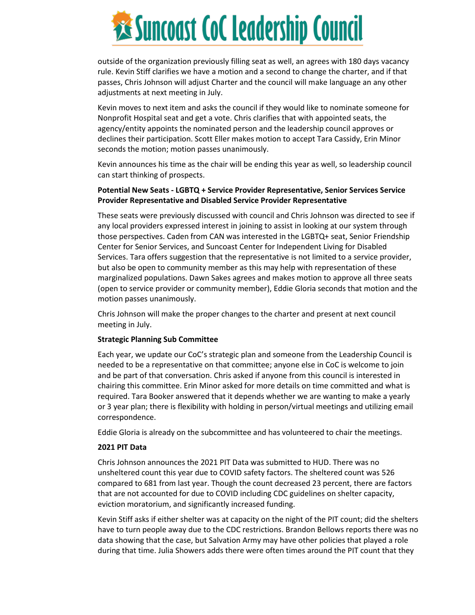

outside of the organization previously filling seat as well, an agrees with 180 days vacancy rule. Kevin Stiff clarifies we have a motion and a second to change the charter, and if that passes, Chris Johnson will adjust Charter and the council will make language an any other adjustments at next meeting in July.

Kevin moves to next item and asks the council if they would like to nominate someone for Nonprofit Hospital seat and get a vote. Chris clarifies that with appointed seats, the agency/entity appoints the nominated person and the leadership council approves or declines their participation. Scott Eller makes motion to accept Tara Cassidy, Erin Minor seconds the motion; motion passes unanimously.

Kevin announces his time as the chair will be ending this year as well, so leadership council can start thinking of prospects.

# **Potential New Seats - LGBTQ + Service Provider Representative, Senior Services Service Provider Representative and Disabled Service Provider Representative**

These seats were previously discussed with council and Chris Johnson was directed to see if any local providers expressed interest in joining to assist in looking at our system through those perspectives. Caden from CAN was interested in the LGBTQ+ seat, Senior Friendship Center for Senior Services, and Suncoast Center for Independent Living for Disabled Services. Tara offers suggestion that the representative is not limited to a service provider, but also be open to community member as this may help with representation of these marginalized populations. Dawn Sakes agrees and makes motion to approve all three seats (open to service provider or community member), Eddie Gloria seconds that motion and the motion passes unanimously.

Chris Johnson will make the proper changes to the charter and present at next council meeting in July.

# **Strategic Planning Sub Committee**

Each year, we update our CoC's strategic plan and someone from the Leadership Council is needed to be a representative on that committee; anyone else in CoC is welcome to join and be part of that conversation. Chris asked if anyone from this council is interested in chairing this committee. Erin Minor asked for more details on time committed and what is required. Tara Booker answered that it depends whether we are wanting to make a yearly or 3 year plan; there is flexibility with holding in person/virtual meetings and utilizing email correspondence.

Eddie Gloria is already on the subcommittee and has volunteered to chair the meetings.

# **2021 PIT Data**

Chris Johnson announces the 2021 PIT Data was submitted to HUD. There was no unsheltered count this year due to COVID safety factors. The sheltered count was 526 compared to 681 from last year. Though the count decreased 23 percent, there are factors that are not accounted for due to COVID including CDC guidelines on shelter capacity, eviction moratorium, and significantly increased funding.

Kevin Stiff asks if either shelter was at capacity on the night of the PIT count; did the shelters have to turn people away due to the CDC restrictions. Brandon Bellows reports there was no data showing that the case, but Salvation Army may have other policies that played a role during that time. Julia Showers adds there were often times around the PIT count that they